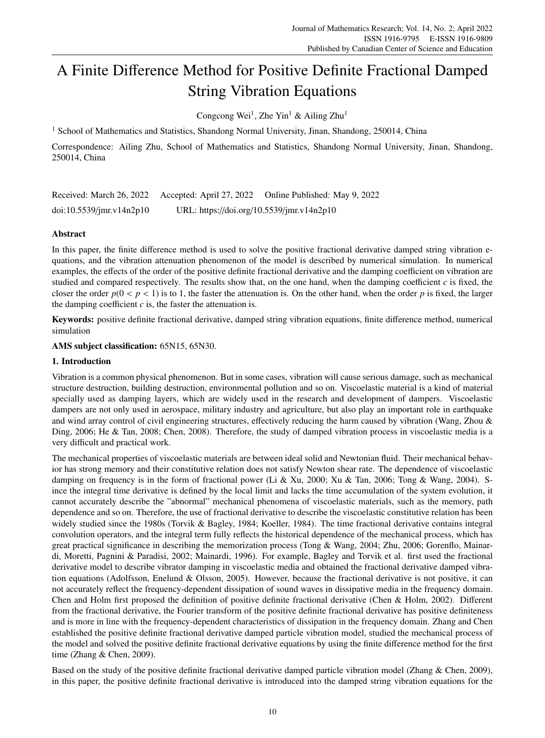# A Finite Difference Method for Positive Definite Fractional Damped String Vibration Equations

Congcong Wei<sup>1</sup>, Zhe Yin<sup>1</sup> & Ailing Zhu<sup>1</sup>

<sup>1</sup> School of Mathematics and Statistics, Shandong Normal University, Jinan, Shandong, 250014, China

Correspondence: Ailing Zhu, School of Mathematics and Statistics, Shandong Normal University, Jinan, Shandong, 250014, China

| Received: March 26, 2022       |                                           | Accepted: April 27, 2022 Online Published: May 9, 2022 |
|--------------------------------|-------------------------------------------|--------------------------------------------------------|
| $doi:10.5539/$ jmr.v $14n2p10$ | URL: https://doi.org/10.5539/jmr.v14n2p10 |                                                        |

# Abstract

In this paper, the finite difference method is used to solve the positive fractional derivative damped string vibration equations, and the vibration attenuation phenomenon of the model is described by numerical simulation. In numerical examples, the effects of the order of the positive definite fractional derivative and the damping coefficient on vibration are studied and compared respectively. The results show that, on the one hand, when the damping coefficient *c* is fixed, the closer the order  $p(0 < p < 1)$  is to 1, the faster the attenuation is. On the other hand, when the order p is fixed, the larger the damping coefficient  $c$  is, the faster the attenuation is.

Keywords: positive definite fractional derivative, damped string vibration equations, finite difference method, numerical simulation

# AMS subject classification: 65N15, 65N30.

# 1. Introduction

Vibration is a common physical phenomenon. But in some cases, vibration will cause serious damage, such as mechanical structure destruction, building destruction, environmental pollution and so on. Viscoelastic material is a kind of material specially used as damping layers, which are widely used in the research and development of dampers. Viscoelastic dampers are not only used in aerospace, military industry and agriculture, but also play an important role in earthquake and wind array control of civil engineering structures, effectively reducing the harm caused by vibration (Wang, Zhou & Ding, 2006; He & Tan, 2008; Chen, 2008). Therefore, the study of damped vibration process in viscoelastic media is a very difficult and practical work.

The mechanical properties of viscoelastic materials are between ideal solid and Newtonian fluid. Their mechanical behavior has strong memory and their constitutive relation does not satisfy Newton shear rate. The dependence of viscoelastic damping on frequency is in the form of fractional power (Li & Xu, 2000; Xu & Tan, 2006; Tong & Wang, 2004). Since the integral time derivative is defined by the local limit and lacks the time accumulation of the system evolution, it cannot accurately describe the "abnormal" mechanical phenomena of viscoelastic materials, such as the memory, path dependence and so on. Therefore, the use of fractional derivative to describe the viscoelastic constitutive relation has been widely studied since the 1980s (Torvik & Bagley, 1984; Koeller, 1984). The time fractional derivative contains integral convolution operators, and the integral term fully reflects the historical dependence of the mechanical process, which has great practical significance in describing the memorization process (Tong & Wang, 2004; Zhu, 2006; Gorenflo, Mainardi, Moretti, Pagnini & Paradisi, 2002; Mainardi, 1996). For example, Bagley and Torvik et al. first used the fractional derivative model to describe vibrator damping in viscoelastic media and obtained the fractional derivative damped vibration equations (Adolfsson, Enelund & Olsson, 2005). However, because the fractional derivative is not positive, it can not accurately reflect the frequency-dependent dissipation of sound waves in dissipative media in the frequency domain. Chen and Holm first proposed the definition of positive definite fractional derivative (Chen & Holm, 2002). Different from the fractional derivative, the Fourier transform of the positive definite fractional derivative has positive definiteness and is more in line with the frequency-dependent characteristics of dissipation in the frequency domain. Zhang and Chen established the positive definite fractional derivative damped particle vibration model, studied the mechanical process of the model and solved the positive definite fractional derivative equations by using the finite difference method for the first time (Zhang & Chen, 2009).

Based on the study of the positive definite fractional derivative damped particle vibration model (Zhang & Chen, 2009), in this paper, the positive definite fractional derivative is introduced into the damped string vibration equations for the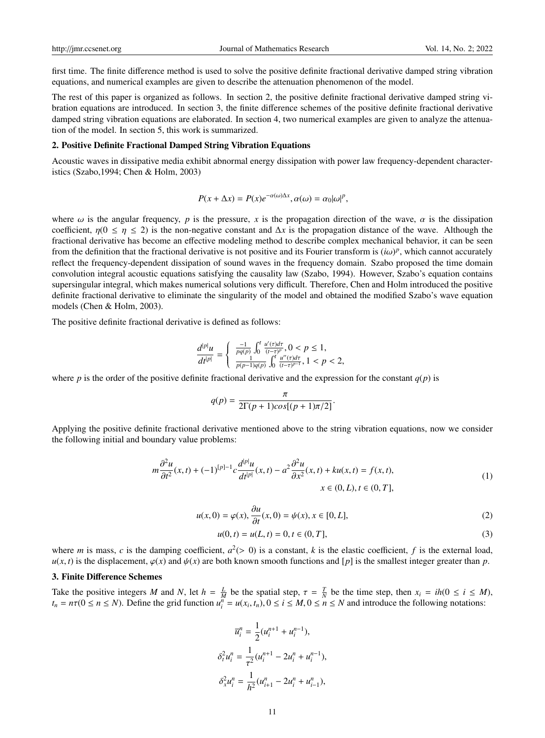first time. The finite difference method is used to solve the positive definite fractional derivative damped string vibration equations, and numerical examples are given to describe the attenuation phenomenon of the model.

The rest of this paper is organized as follows. In section 2, the positive definite fractional derivative damped string vibration equations are introduced. In section 3, the finite difference schemes of the positive definite fractional derivative damped string vibration equations are elaborated. In section 4, two numerical examples are given to analyze the attenuation of the model. In section 5, this work is summarized.

#### 2. Positive Definite Fractional Damped String Vibration Equations

Acoustic waves in dissipative media exhibit abnormal energy dissipation with power law frequency-dependent characteristics (Szabo,1994; Chen & Holm, 2003)

$$
P(x + \Delta x) = P(x)e^{-\alpha(\omega)\Delta x}, \alpha(\omega) = \alpha_0|\omega|^p,
$$

where  $\omega$  is the angular frequency, *p* is the pressure, *x* is the propagation direction of the wave,  $\alpha$  is the dissipation coefficient,  $\eta(0 \le \eta \le 2)$  is the non-negative constant and  $\Delta x$  is the propagation distance of the wave. Although the fractional derivative has become an effective modeling method to describe complex mechanical behavior, it can be seen from the definition that the fractional derivative is not positive and its Fourier transform is  $(i\omega)^p$ , which cannot accurately reflect the frequency-dependent dissination of sound waves in the frequency domain. Szabo pr reflect the frequency-dependent dissipation of sound waves in the frequency domain. Szabo proposed the time domain convolution integral acoustic equations satisfying the causality law (Szabo, 1994). However, Szabo's equation contains supersingular integral, which makes numerical solutions very difficult. Therefore, Chen and Holm introduced the positive definite fractional derivative to eliminate the singularity of the model and obtained the modified Szabo's wave equation models (Chen & Holm, 2003).

The positive definite fractional derivative is defined as follows:

$$
\frac{d^{|p|}u}{dt^{|p|}} = \begin{cases} \frac{-1}{pq(p)} \int_0^t \frac{u'(\tau)d\tau}{(t-\tau)^p}, 0 < p \le 1, \\ \frac{1}{p(p-1)q(p)} \int_0^t \frac{u''(\tau)d\tau}{(t-\tau)^{p-1}}, 1 < p < 2, \end{cases}
$$

where *p* is the order of the positive definite fractional derivative and the expression for the constant  $q(p)$  is

$$
q(p) = \frac{\pi}{2\Gamma(p+1)cos[(p+1)\pi/2]}
$$

Applying the positive definite fractional derivative mentioned above to the string vibration equations, now we consider the following initial and boundary value problems:

$$
m\frac{\partial^2 u}{\partial t^2}(x,t) + (-1)^{[p]-1}c\frac{d^{[p]}u}{dt^{[p]}}(x,t) - a^2\frac{\partial^2 u}{\partial x^2}(x,t) + ku(x,t) = f(x,t),
$$
  
\n
$$
x \in (0,L), t \in (0,T],
$$
\n(1)

$$
u(x,0) = \varphi(x), \frac{\partial u}{\partial t}(x,0) = \psi(x), x \in [0,L],
$$
\n
$$
u(0,t) = u(L,t) = 0, t \in (0,T].
$$
\n(2)

$$
u(0, t) = u(L, t) = 0, t \in (0, T],
$$
\n(3)

where *m* is mass, *c* is the damping coefficient,  $a^2 (> 0)$  is a constant, *k* is the elastic coefficient, *f* is the external load,  $u(r)$  is the displacement  $\varphi(r)$  and  $u(r)$  are both known smooth functions and [*n*] i  $u(x, t)$  is the displacement,  $\varphi(x)$  and  $\psi(x)$  are both known smooth functions and [*p*] is the smallest integer greater than *p*.

#### 3. Finite Difference Schemes

Take the positive integers *M* and *N*, let  $h = \frac{L}{M}$  be the spatial step,  $\tau = \frac{T}{N}$  be the time step, then  $x_i = ih(0 \le i \le M)$ ,<br> $t = n\tau(0 \le n \le N)$ . Define the grid function  $u^n = u(x, t)$ ,  $0 \le i \le M$ ,  $0 \le n \le N$  and introduce th  $t_n = n\tau(0 \le n \le N)$ . Define the grid function  $u_i^n = u(x_i, t_n), 0 \le i \le M, 0 \le n \le N$  and introduce the following notations:

$$
\overline{u}_i^n = \frac{1}{2} (u_i^{n+1} + u_i^{n-1}),
$$
  
\n
$$
\delta_i^2 u_i^n = \frac{1}{\tau^2} (u_i^{n+1} - 2u_i^n + u_i^{n-1}),
$$
  
\n
$$
\delta_x^2 u_i^n = \frac{1}{h^2} (u_{i+1}^n - 2u_i^n + u_{i-1}^n),
$$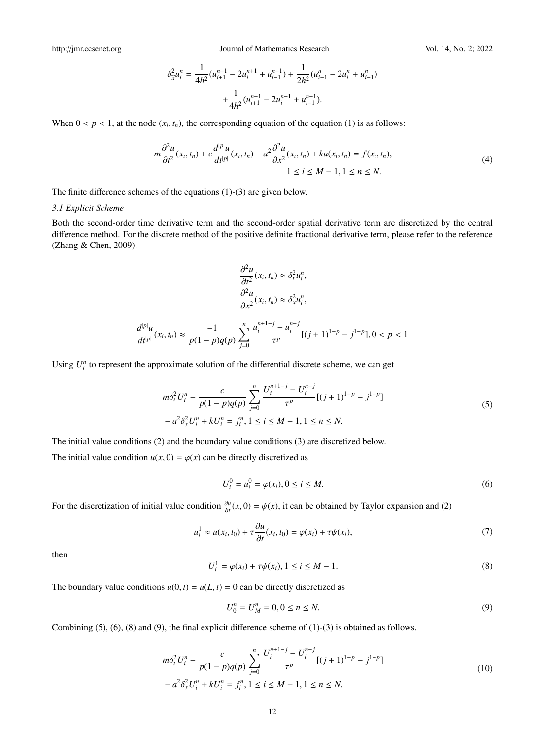http://jmr.ccsenet.org Journal of Mathematics Research Vol. 14, No. 2; 2022

$$
\delta_{\tilde{x}}^2 u_i^n = \frac{1}{4h^2} (u_{i+1}^{n+1} - 2u_i^{n+1} + u_{i-1}^{n+1}) + \frac{1}{2h^2} (u_{i+1}^n - 2u_i^n + u_{i-1}^n)
$$

$$
+ \frac{1}{4h^2} (u_{i+1}^{n-1} - 2u_i^{n-1} + u_{i-1}^{n-1}).
$$

When  $0 < p < 1$ , at the node  $(x_i, t_n)$ , the corresponding equation of the equation (1) is as follows:

$$
m\frac{\partial^2 u}{\partial t^2}(x_i, t_n) + c \frac{d^{|p|} u}{dt^{|p|}}(x_i, t_n) - a^2 \frac{\partial^2 u}{\partial x^2}(x_i, t_n) + ku(x_i, t_n) = f(x_i, t_n),
$$
  
 
$$
1 \le i \le M - 1, 1 \le n \le N.
$$
 (4)

The finite difference schemes of the equations (1)-(3) are given below.

#### *3.1 Explicit Scheme*

Both the second-order time derivative term and the second-order spatial derivative term are discretized by the central difference method. For the discrete method of the positive definite fractional derivative term, please refer to the reference (Zhang & Chen, 2009).

$$
\frac{\partial^2 u}{\partial t^2}(x_i, t_n) \approx \delta_t^2 u_i^n,
$$
  

$$
\frac{\partial^2 u}{\partial x^2}(x_i, t_n) \approx \delta_x^2 u_i^n,
$$

$$
\frac{d^{|p|}u}{dt^{|p|}}(x_i,t_n)\approx \frac{-1}{p(1-p)q(p)}\sum_{j=0}^n \frac{u_i^{n+1-j}-u_i^{n-j}}{\tau^p}[(j+1)^{1-p}-j^{1-p}], 0
$$

Using  $U_i^n$  to represent the approximate solution of the differential discrete scheme, we can get

$$
m\delta_i^2 U_i^n - \frac{c}{p(1-p)q(p)} \sum_{j=0}^n \frac{U_i^{n+1-j} - U_i^{n-j}}{\tau^p} [(j+1)^{1-p} - j^{1-p}]
$$
  

$$
-a^2 \delta_x^2 U_i^n + kU_i^n = f_i^n, 1 \le i \le M - 1, 1 \le n \le N.
$$
 (5)

The initial value conditions (2) and the boundary value conditions (3) are discretized below.

The initial value condition  $u(x, 0) = \varphi(x)$  can be directly discretized as

$$
U_i^0 = u_i^0 = \varphi(x_i), 0 \le i \le M. \tag{6}
$$

For the discretization of initial value condition  $\frac{\partial u}{\partial t}(x,0) = \psi(x)$ , it can be obtained by Taylor expansion and (2)

$$
u_i^1 \approx u(x_i, t_0) + \tau \frac{\partial u}{\partial t}(x_i, t_0) = \varphi(x_i) + \tau \psi(x_i), \tag{7}
$$

then

$$
U_i^1 = \varphi(x_i) + \tau \psi(x_i), 1 \le i \le M - 1.
$$
 (8)

The boundary value conditions  $u(0, t) = u(L, t) = 0$  can be directly discretized as

$$
U_0^n = U_M^n = 0, 0 \le n \le N. \tag{9}
$$

Combining  $(5)$ ,  $(6)$ ,  $(8)$  and  $(9)$ , the final explicit difference scheme of  $(1)-(3)$  is obtained as follows.

$$
m\delta_i^2 U_i^n - \frac{c}{p(1-p)q(p)} \sum_{j=0}^n \frac{U_i^{n+1-j} - U_i^{n-j}}{\tau^p} [(j+1)^{1-p} - j^{1-p}]
$$
  

$$
- a^2 \delta_x^2 U_i^n + k U_i^n = f_i^n, 1 \le i \le M - 1, 1 \le n \le N.
$$
 (10)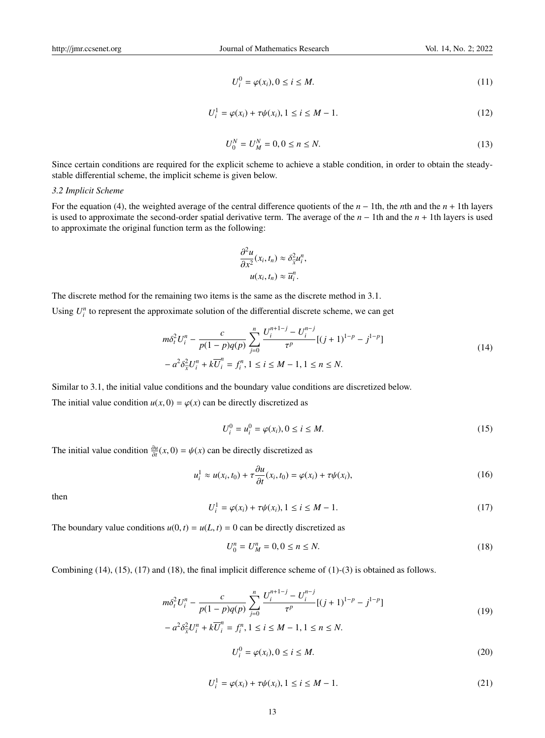$$
U_i^0 = \varphi(x_i), 0 \le i \le M. \tag{11}
$$

$$
U_i^1 = \varphi(x_i) + \tau \psi(x_i), 1 \le i \le M - 1.
$$
 (12)

$$
U_0^N = U_M^N = 0, 0 \le n \le N. \tag{13}
$$

Since certain conditions are required for the explicit scheme to achieve a stable condition, in order to obtain the steadystable differential scheme, the implicit scheme is given below.

#### *3.2 Implicit Scheme*

For the equation (4), the weighted average of the central difference quotients of the *n* − 1th, the *n*th and the *n* + 1th layers is used to approximate the second-order spatial derivative term. The average of the *n* − 1th and the *n* + 1th layers is used to approximate the original function term as the following:

$$
\frac{\partial^2 u}{\partial x^2}(x_i, t_n) \approx \delta_{\widehat{x}}^2 u_i^n,
$$
  

$$
u(x_i, t_n) \approx \overline{u}_i^n.
$$

*n*+1−*j*

The discrete method for the remaining two items is the same as the discrete method in 3.1.

Using  $U_i^n$  to represent the approximate solution of the differential discrete scheme, we can get

$$
m\delta_i^2 U_i^n - \frac{c}{p(1-p)q(p)} \sum_{j=0}^n \frac{U_i^{n+1-j} - U_i^{n-j}}{\tau^p} [(j+1)^{1-p} - j^{1-p}]
$$
  

$$
-a^2 \delta_{\tilde{x}}^2 U_i^n + k \overline{U}_i^n = f_i^n, 1 \le i \le M - 1, 1 \le n \le N.
$$
 (14)

Similar to 3.1, the initial value conditions and the boundary value conditions are discretized below. The initial value condition  $u(x, 0) = \varphi(x)$  can be directly discretized as

$$
U_i^0 = u_i^0 = \varphi(x_i), 0 \le i \le M. \tag{15}
$$

The initial value condition  $\frac{\partial u}{\partial t}(x, 0) = \psi(x)$  can be directly discretized as

$$
u_i^1 \approx u(x_i, t_0) + \tau \frac{\partial u}{\partial t}(x_i, t_0) = \varphi(x_i) + \tau \psi(x_i), \qquad (16)
$$

then

$$
U_i^1 = \varphi(x_i) + \tau \psi(x_i), 1 \le i \le M - 1.
$$
 (17)

The boundary value conditions  $u(0, t) = u(L, t) = 0$  can be directly discretized as

$$
U_0^n = U_M^n = 0, 0 \le n \le N. \tag{18}
$$

Combining (14), (15), (17) and (18), the final implicit difference scheme of (1)-(3) is obtained as follows.

$$
m\delta_i^2 U_i^n - \frac{c}{p(1-p)q(p)} \sum_{j=0}^n \frac{U_i^{n+1-j} - U_i^{n-j}}{\tau^p} [(j+1)^{1-p} - j^{1-p}]
$$
  

$$
-a^2 \delta_{\widehat{x}}^2 U_i^n + k \overline{U}_i^n = f_i^n, 1 \le i \le M - 1, 1 \le n \le N.
$$
 (19)

$$
U_i^0 = \varphi(x_i), 0 \le i \le M. \tag{20}
$$

$$
U_i^1 = \varphi(x_i) + \tau \psi(x_i), 1 \le i \le M - 1.
$$
 (21)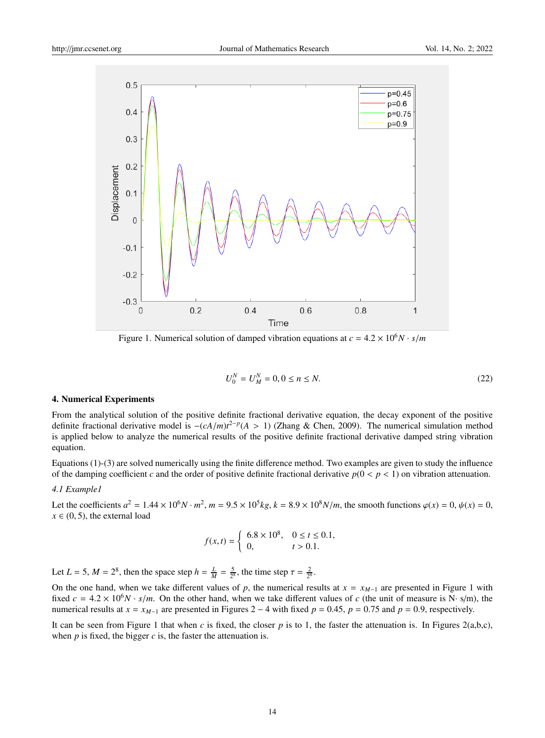

Figure 1. Numerical solution of damped vibration equations at  $c = 4.2 \times 10^6 N \cdot s/m$ 

$$
U_0^N = U_M^N = 0, 0 \le n \le N. \tag{22}
$$

#### 4. Numerical Experiments

From the analytical solution of the positive definite fractional derivative equation, the decay exponent of the positive definite fractional derivative model is  $-(cA/m)t^{2-p}(A > 1)$  (Zhang & Chen, 2009). The numerical simulation method<br>is applied below to analyze the numerical results of the positive definite fractional derivative damped string is applied below to analyze the numerical results of the positive definite fractional derivative damped string vibration equation.

Equations (1)-(3) are solved numerically using the finite difference method. Two examples are given to study the influence of the damping coefficient *c* and the order of positive definite fractional derivative  $p(0 < p < 1)$  on vibration attenuation.

### *4.1 Example1*

Let the coefficients  $a^2 = 1.44 \times 10^6 N \cdot m^2$ ,  $m = 9.5 \times 10^5 kg$ ,  $k = 8.9 \times 10^8 N/m$ , the smooth functions  $\varphi(x) = 0$ ,  $\psi(x) = 0$ ,  $\psi(x) = 0$ ,  $x \in (0, 5)$ , the external load

$$
f(x,t) = \begin{cases} 6.8 \times 10^8, & 0 \le t \le 0.1, \\ 0, & t > 0.1. \end{cases}
$$

Let  $L = 5$ ,  $M = 2^8$ , then the space step  $h = \frac{L}{M} = \frac{5}{2^8}$ , the time step  $\tau = \frac{2}{2^8}$ .

On the one hand, when we take different values of *p*, the numerical results at  $x = x_{M-1}$  are presented in Figure 1 with fixed  $c = 4.2 \times 10^6 N \cdot s/m$ . On the other hand, when we take different values of *c* (the unit of measure is N· s/m), the numerical results at  $x = x_{M-1}$  are presented in Figures 2 − 4 with fixed  $p = 0.45$ ,  $p = 0.75$  and  $p = 0.9$ , respectively.

It can be seen from Figure 1 that when *c* is fixed, the closer *p* is to 1, the faster the attenuation is. In Figures 2(a,b,c), when  $p$  is fixed, the bigger  $c$  is, the faster the attenuation is.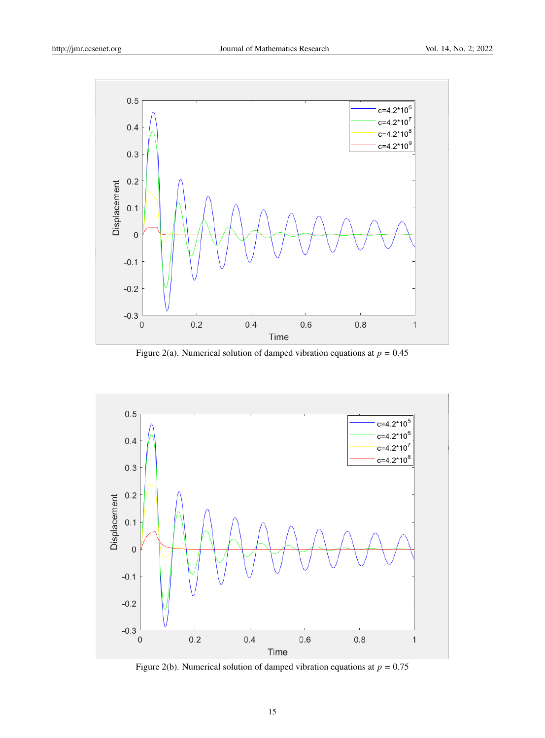

Figure 2(a). Numerical solution of damped vibration equations at  $p = 0.45$ 



Figure 2(b). Numerical solution of damped vibration equations at  $p = 0.75$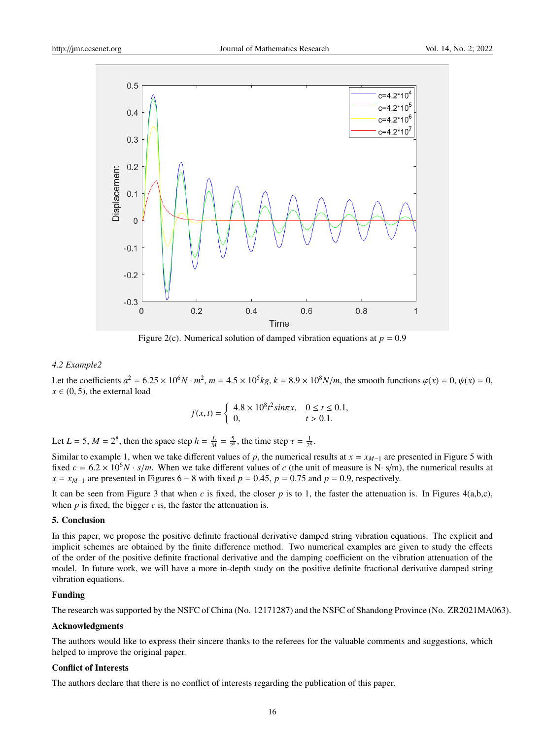

Figure 2(c). Numerical solution of damped vibration equations at  $p = 0.9$ 

#### *4.2 Example2*

Let the coefficients  $a^2 = 6.25 \times 10^6 N \cdot m^2$ ,  $m = 4.5 \times 10^5 kg$ ,  $k = 8.9 \times 10^8 N/m$ , the smooth functions  $\varphi(x) = 0$ ,  $\psi(x) = 0$ ,  $\psi(x) = 0$ ,  $x \in (0, 5)$ , the external load

$$
f(x,t) = \begin{cases} 4.8 \times 10^8 t^2 \sin \pi x, & 0 \le t \le 0.1, \\ 0, & t > 0.1. \end{cases}
$$

Let  $L = 5$ ,  $M = 2^8$ , then the space step  $h = \frac{L}{M} = \frac{5}{2^8}$ , the time step  $\tau = \frac{1}{2^8}$ .

Similar to example 1, when we take different values of *p*, the numerical results at  $x = x_{M-1}$  are presented in Figure 5 with fixed  $c = 6.2 \times 10^6 N \cdot s/m$ . When we take different values of *c* (the unit of measure is N· s/m), the numerical results at  $x = x_{M-1}$  are presented in Figures 6 – 8 with fixed  $p = 0.45$ ,  $p = 0.75$  and  $p = 0.9$ , respectively.

It can be seen from Figure 3 that when *c* is fixed, the closer *p* is to 1, the faster the attenuation is. In Figures 4(a,b,c), when  $p$  is fixed, the bigger  $c$  is, the faster the attenuation is.

## 5. Conclusion

In this paper, we propose the positive definite fractional derivative damped string vibration equations. The explicit and implicit schemes are obtained by the finite difference method. Two numerical examples are given to study the effects of the order of the positive definite fractional derivative and the damping coefficient on the vibration attenuation of the model. In future work, we will have a more in-depth study on the positive definite fractional derivative damped string vibration equations.

## Funding

The research was supported by the NSFC of China (No. 12171287) and the NSFC of Shandong Province (No. ZR2021MA063).

#### Acknowledgments

The authors would like to express their sincere thanks to the referees for the valuable comments and suggestions, which helped to improve the original paper.

## Conflict of Interests

The authors declare that there is no conflict of interests regarding the publication of this paper.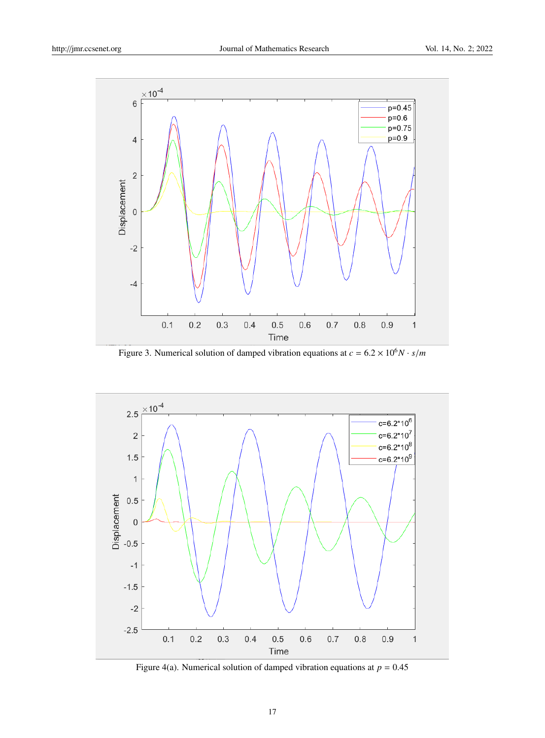

Figure 3. Numerical solution of damped vibration equations at  $c = 6.2 \times 10^6 N \cdot s/m$ 



Figure 4(a). Numerical solution of damped vibration equations at  $p = 0.45$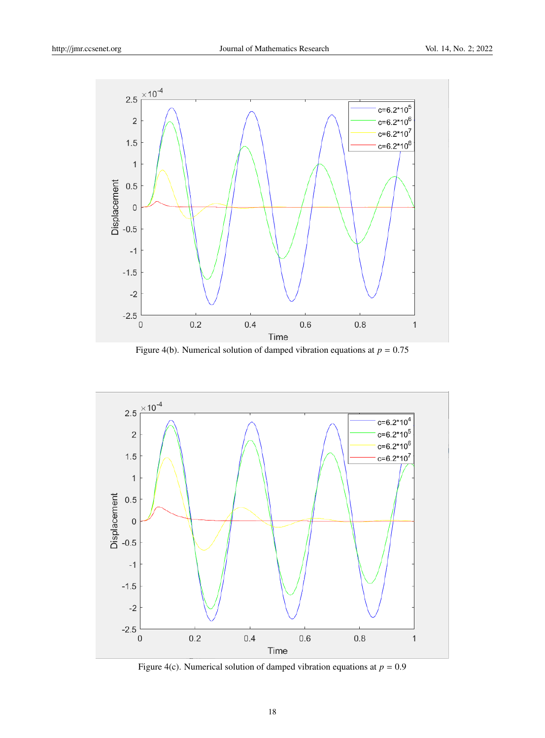

Figure 4(b). Numerical solution of damped vibration equations at  $p = 0.75$ 



Figure 4(c). Numerical solution of damped vibration equations at  $p = 0.9$